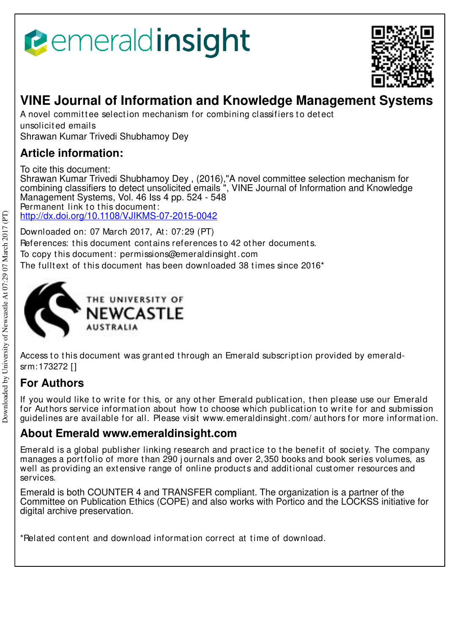# emeraldinsight



## **VINE Journal of Information and Knowledge Management Systems**

A novel committee selection mechanism for combining classifiers to detect unsolicit ed emails Shrawan Kumar Trivedi Shubhamoy Dey

## **Article information:**

To cite this document: Shrawan Kumar Trivedi Shubhamoy Dey , (2016),"A novel committee selection mechanism for combining classifiers to detect unsolicited emails ", VINE Journal of Information and Knowledge Management Systems, Vol. 46 Iss 4 pp. 524 - 548 Permanent link to this document: http://dx.doi.org/10.1108/VJIKMS-07-2015-0042

Downloaded on: 07 March 2017, At : 07:29 (PT) References: this document contains references to 42 other documents. To copy t his document : permissions@emeraldinsight .com The fulltext of this document has been downloaded  $38$  times since  $2016<sup>*</sup>$ 



Access to this document was granted through an Emerald subscription provided by emeraldsrm:173272 []

## **For Authors**

If you would like to write for this, or any other Emerald publication, then please use our Emerald for Authors service information about how to choose which publication to write for and submission guidelines are available for all. Please visit www.emeraldinsight .com/ aut hors for more informat ion.

## **About Emerald www.emeraldinsight.com**

Emerald is a global publisher linking research and practice to the benefit of society. The company manages a portfolio of more than 290 journals and over 2,350 books and book series volumes, as well as providing an extensive range of online products and additional customer resources and services.

Emerald is both COUNTER 4 and TRANSFER compliant. The organization is a partner of the Committee on Publication Ethics (COPE) and also works with Portico and the LOCKSS initiative for digital archive preservation.

\*Relat ed cont ent and download informat ion correct at t ime of download.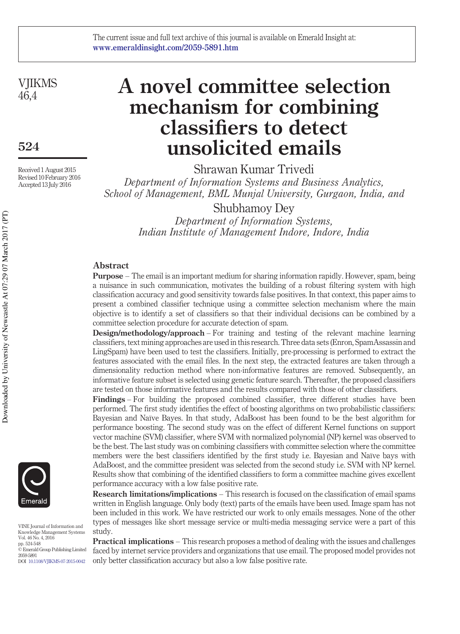**VIIKMS**  $46.4$ 

**524**

Received 1 August 2015 Revised 10 February 2016 Accepted 13 July 2016

## **A novel committee selection mechanism for combining classifiers to detect unsolicited emails**

Shrawan Kumar Trivedi *Department of Information Systems and Business Analytics, School of Management, BML Munjal University, Gurgaon, India, and*

Shubhamoy Dey

*Department of Information Systems, Indian Institute of Management Indore, Indore, India*

#### **Abstract**

**Purpose** – The email is an important medium for sharing information rapidly. However, spam, being a nuisance in such communication, motivates the building of a robust filtering system with high classification accuracy and good sensitivity towards false positives. In that context, this paper aims to present a combined classifier technique using a committee selection mechanism where the main objective is to identify a set of classifiers so that their individual decisions can be combined by a committee selection procedure for accurate detection of spam.

**Design/methodology/approach** – For training and testing of the relevant machine learning classifiers, text mining approaches are used in this research. Three data sets (Enron, SpamAssassin and LingSpam) have been used to test the classifiers. Initially, pre-processing is performed to extract the features associated with the email files. In the next step, the extracted features are taken through a dimensionality reduction method where non-informative features are removed. Subsequently, an informative feature subset is selected using genetic feature search. Thereafter, the proposed classifiers are tested on those informative features and the results compared with those of other classifiers.

**Findings** – For building the proposed combined classifier, three different studies have been performed. The first study identifies the effect of boosting algorithms on two probabilistic classifiers: Bayesian and Naïve Bayes. In that study, AdaBoost has been found to be the best algorithm for performance boosting. The second study was on the effect of different Kernel functions on support vector machine (SVM) classifier, where SVM with normalized polynomial (NP) kernel was observed to be the best. The last study was on combining classifiers with committee selection where the committee members were the best classifiers identified by the first study i.e. Bayesian and Naïve bays with AdaBoost, and the committee president was selected from the second study i.e. SVM with NP kernel. Results show that combining of the identified classifiers to form a committee machine gives excellent performance accuracy with a low false positive rate.

**Research limitations/implications** – This research is focused on the classification of email spams written in English language. Only body (text) parts of the emails have been used. Image spam has not been included in this work. We have restricted our work to only emails messages. None of the other types of messages like short message service or multi-media messaging service were a part of this study.

**Practical implications** – This research proposes a method of dealing with the issues and challenges faced by internet service providers and organizations that use email. The proposed model provides not only better classification accuracy but also a low false positive rate.



VINE Journal of Information and Knowledge Management Systems Vol. 46 No. 4, 2016 pp. 524-548 © Emerald Group Publishing Limited 2059-5891 DOI 10.1108/VJIKMS-07-2015-0042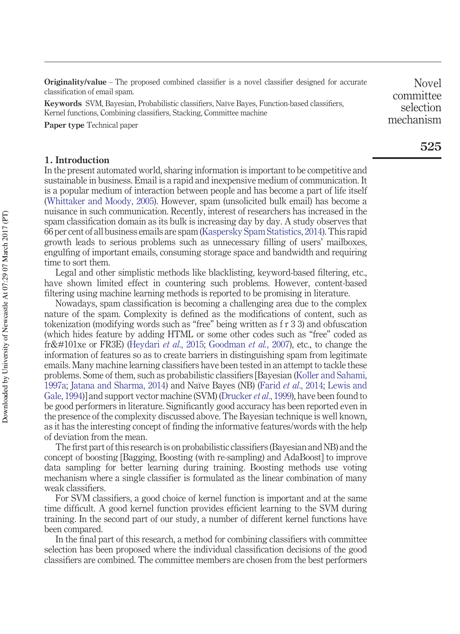**Originality/value** – The proposed combined classifier is a novel classifier designed for accurate classification of email spam.

**Keywords** SVM, Bayesian, Probabilistic classifiers, Naïve Bayes, Function-based classifiers, Kernel functions, Combining classifiers, Stacking, Committee machine

**Paper type** Technical paper

#### **1. Introduction**

In the present automated world, sharing information is important to be competitive and sustainable in business. Email is a rapid and inexpensive medium of communication. It is a popular medium of interaction between people and has become a part of life itself (Whittaker and Moody, 2005). However, spam (unsolicited bulk email) has become a nuisance in such communication. Recently, interest of researchers has increased in the spam classification domain as its bulk is increasing day by day. A study observes that 66 per cent of all business emails are spam (Kaspersky Spam Statistics, 2014). This rapid growth leads to serious problems such as unnecessary filling of users' mailboxes, engulfing of important emails, consuming storage space and bandwidth and requiring time to sort them.

Legal and other simplistic methods like blacklisting, keyword-based filtering, etc., have shown limited effect in countering such problems. However, content-based filtering using machine learning methods is reported to be promising in literature.

Nowadays, spam classification is becoming a challenging area due to the complex nature of the spam. Complexity is defined as the modifications of content, such as tokenization (modifying words such as "free" being written as f r 3 3) and obfuscation (which hides feature by adding HTML or some other codes such as "free" coded as fr&#101xe or FR3E) (Heydari *et al.*, 2015; Goodman *et al.*, 2007), etc., to change the information of features so as to create barriers in distinguishing spam from legitimate emails. Many machine learning classifiers have been tested in an attempt to tackle these problems. Some of them, such as probabilistic classifiers [Bayesian (Koller and Sahami, 1997a; Jatana and Sharma, 2014) and Naïve Bayes (NB) (Farid *et al*., 2014; Lewis and Gale, 1994)] and support vector machine (SVM) (Drucker *et al*., 1999), have been found to be good performers in literature. Significantly good accuracy has been reported even in the presence of the complexity discussed above. The Bayesian technique is well known, as it has the interesting concept of finding the informative features/words with the help of deviation from the mean.

The first part of this research is on probabilistic classifiers (Bayesian and NB) and the concept of boosting [Bagging, Boosting (with re-sampling) and AdaBoost] to improve data sampling for better learning during training. Boosting methods use voting mechanism where a single classifier is formulated as the linear combination of many weak classifiers.

For SVM classifiers, a good choice of kernel function is important and at the same time difficult. A good kernel function provides efficient learning to the SVM during training. In the second part of our study, a number of different kernel functions have been compared.

In the final part of this research, a method for combining classifiers with committee selection has been proposed where the individual classification decisions of the good classifiers are combined. The committee members are chosen from the best performers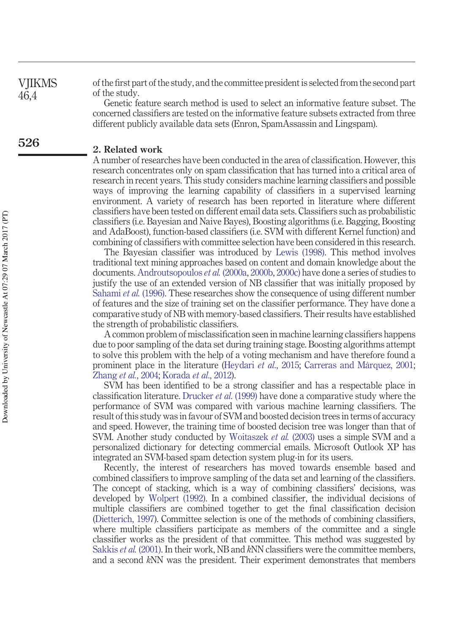of the first part of the study, and the committee president is selected from the second part of the study. **VIIKMS** 

> Genetic feature search method is used to select an informative feature subset. The concerned classifiers are tested on the informative feature subsets extracted from three different publicly available data sets (Enron, SpamAssassin and Lingspam).

#### **2. Related work**

A number of researches have been conducted in the area of classification. However, this research concentrates only on spam classification that has turned into a critical area of research in recent years. This study considers machine learning classifiers and possible ways of improving the learning capability of classifiers in a supervised learning environment. A variety of research has been reported in literature where different classifiers have been tested on different email data sets. Classifiers such as probabilistic classifiers (i.e. Bayesian and Naive Bayes), Boosting algorithms (i.e. Bagging, Boosting and AdaBoost), function-based classifiers (i.e. SVM with different Kernel function) and combining of classifiers with committee selection have been considered in this research.

The Bayesian classifier was introduced by Lewis (1998). This method involves traditional text mining approaches based on content and domain knowledge about the documents. Androutsopoulos *et al.* (2000a, 2000b, 2000c) have done a series of studies to justify the use of an extended version of NB classifier that was initially proposed by Sahami *et al.* (1996). These researches show the consequence of using different number of features and the size of training set on the classifier performance. They have done a comparative study of NB with memory-based classifiers. Their results have established the strength of probabilistic classifiers.

A common problem of misclassification seen in machine learning classifiers happens due to poor sampling of the data set during training stage. Boosting algorithms attempt to solve this problem with the help of a voting mechanism and have therefore found a prominent place in the literature (Heydari *et al.*, 2015; Carreras and Marquez, 2001; Zhang *et al.*, 2004; Korada *et al*., 2012).

SVM has been identified to be a strong classifier and has a respectable place in classification literature. Drucker *et al*. (1999) have done a comparative study where the performance of SVM was compared with various machine learning classifiers. The result of this study was in favour of SVM and boosted decision trees in terms of accuracy and speed. However, the training time of boosted decision tree was longer than that of SVM. Another study conducted by Woitaszek *et al.* (2003) uses a simple SVM and a personalized dictionary for detecting commercial emails. Microsoft Outlook XP has integrated an SVM-based spam detection system plug-in for its users.

Recently, the interest of researchers has moved towards ensemble based and combined classifiers to improve sampling of the data set and learning of the classifiers. The concept of stacking, which is a way of combining classifiers' decisions, was developed by Wolpert (1992). In a combined classifier, the individual decisions of multiple classifiers are combined together to get the final classification decision (Dietterich, 1997). Committee selection is one of the methods of combining classifiers, where multiple classifiers participate as members of the committee and a single classifier works as the president of that committee. This method was suggested by Sakkis *et al.* (2001). In their work, NB and *k*NN classifiers were the committee members, and a second *k*NN was the president. Their experiment demonstrates that members

46,4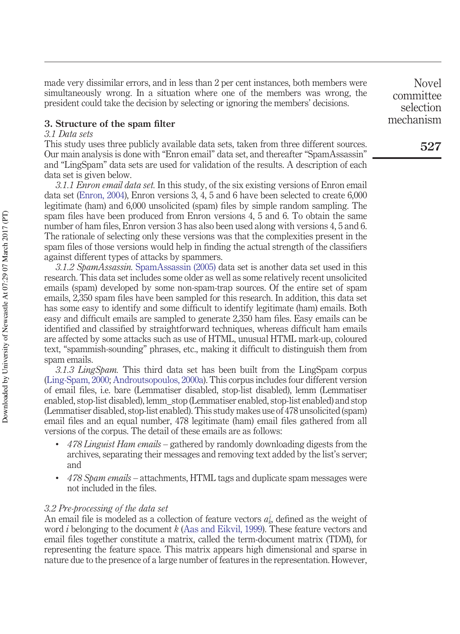made very dissimilar errors, and in less than 2 per cent instances, both members were simultaneously wrong. In a situation where one of the members was wrong, the president could take the decision by selecting or ignoring the members' decisions.

#### **3. Structure of the spam filter**

#### *3.1 Data sets*

This study uses three publicly available data sets, taken from three different sources. Our main analysis is done with "Enron email" data set, and thereafter "SpamAssassin" and "LingSpam" data sets are used for validation of the results. A description of each data set is given below.

*3.1.1 Enron email data set.* In this study, of the six existing versions of Enron email data set (Enron, 2004), Enron versions 3, 4, 5 and 6 have been selected to create 6,000 legitimate (ham) and 6,000 unsolicited (spam) files by simple random sampling. The spam files have been produced from Enron versions 4, 5 and 6. To obtain the same number of ham files, Enron version 3 has also been used along with versions 4, 5 and 6. The rationale of selecting only these versions was that the complexities present in the spam files of those versions would help in finding the actual strength of the classifiers against different types of attacks by spammers.

*3.1.2 SpamAssassin.* SpamAssassin (2005) data set is another data set used in this research. This data set includes some older as well as some relatively recent unsolicited emails (spam) developed by some non-spam-trap sources. Of the entire set of spam emails, 2,350 spam files have been sampled for this research. In addition, this data set has some easy to identify and some difficult to identify legitimate (ham) emails. Both easy and difficult emails are sampled to generate 2,350 ham files. Easy emails can be identified and classified by straightforward techniques, whereas difficult ham emails are affected by some attacks such as use of HTML, unusual HTML mark-up, coloured text, "spammish-sounding" phrases, etc., making it difficult to distinguish them from spam emails.

*3.1.3 LingSpam.* This third data set has been built from the LingSpam corpus (Ling-Spam, 2000; Androutsopoulos, 2000a). This corpus includes four different version of email files, i.e. bare (Lemmatiser disabled, stop-list disabled), lemm (Lemmatiser enabled, stop-list disabled), lemm\_stop (Lemmatiser enabled, stop-list enabled) and stop (Lemmatiser disabled, stop-list enabled). This study makes use of 478 unsolicited (spam) email files and an equal number, 478 legitimate (ham) email files gathered from all versions of the corpus. The detail of these emails are as follows:

- *478 Linguist Ham emails* gathered by randomly downloading digests from the archives, separating their messages and removing text added by the list's server; and
- *478 Spam emails* attachments, HTML tags and duplicate spam messages were not included in the files.

#### *3.2 Pre-processing of the data set*

An email file is modeled as a collection of feature vectors  $a_k^i$ , defined as the weight of word *i* belonging to the document *k* (Aas and Eikvil, 1999). These feature vectors and email files together constitute a matrix, called the term-document matrix (TDM), for representing the feature space. This matrix appears high dimensional and sparse in nature due to the presence of a large number of features in the representation. However,

Novel committee selection mechanism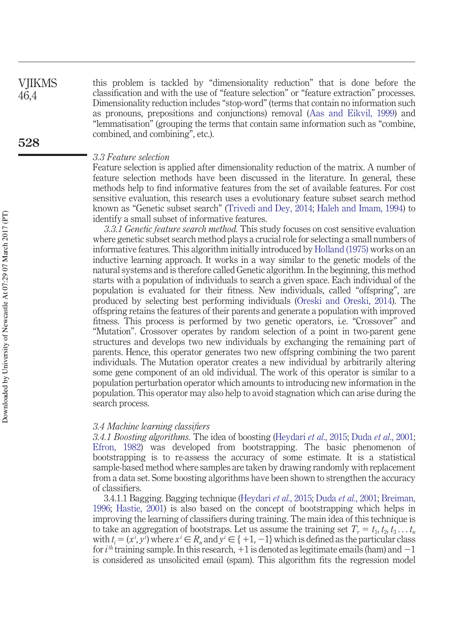this problem is tackled by "dimensionality reduction" that is done before the classification and with the use of "feature selection" or "feature extraction" processes. Dimensionality reduction includes "stop-word" (terms that contain no information such as pronouns, prepositions and conjunctions) removal (Aas and Eikvil, 1999) and "lemmatisation" (grouping the terms that contain same information such as "combine, combined, and combining", etc.). VJIKMS 46,4 **528**

#### *3.3 Feature selection*

Feature selection is applied after dimensionality reduction of the matrix. A number of feature selection methods have been discussed in the literature. In general, these methods help to find informative features from the set of available features. For cost sensitive evaluation, this research uses a evolutionary feature subset search method known as "Genetic subset search" (Trivedi and Dey, 2014; Haleh and Imam, 1994) to identify a small subset of informative features.

*3.3.1 Genetic feature search method.* This study focuses on cost sensitive evaluation where genetic subset search method plays a crucial role for selecting a small numbers of informative features. This algorithm initially introduced by Holland (1975) works on an inductive learning approach. It works in a way similar to the genetic models of the natural systems and is therefore called Genetic algorithm. In the beginning, this method starts with a population of individuals to search a given space. Each individual of the population is evaluated for their fitness. New individuals, called "offspring", are produced by selecting best performing individuals (Oreski and Oreski, 2014). The offspring retains the features of their parents and generate a population with improved fitness. This process is performed by two genetic operators, i.e. "Crossover" and "Mutation". Crossover operates by random selection of a point in two-parent gene structures and develops two new individuals by exchanging the remaining part of parents. Hence, this operator generates two new offspring combining the two parent individuals. The Mutation operator creates a new individual by arbitrarily altering some gene component of an old individual. The work of this operator is similar to a population perturbation operator which amounts to introducing new information in the population. This operator may also help to avoid stagnation which can arise during the search process.

#### *3.4 Machine learning classifiers*

*3.4.1 Boosting algorithms.* The idea of boosting (Heydari *et al*., 2015; Duda *et al*., 2001; Efron, 1982) was developed from bootstrapping. The basic phenomenon of bootstrapping is to re-assess the accuracy of some estimate. It is a statistical sample-based method where samples are taken by drawing randomly with replacement from a data set. Some boosting algorithms have been shown to strengthen the accuracy of classifiers.

3.4.1.1 Bagging. Bagging technique (Heydari *et al*., 2015; Duda *et al*., 2001; Breiman, 1996; Hastie, 2001) is also based on the concept of bootstrapping which helps in improving the learning of classifiers during training. The main idea of this technique is to take an aggregation of bootstraps. Let us assume the training set  $T_r = t_1, t_2, t_3 \ldots t_n$ with  $t_i = (x^i, y^i)$  where  $x^i \in R_n$  and  $y^i \in \{+1, -1\}$  which is defined as the particular class for *i*<sup>th</sup> training sample. In this research, +1 is denoted as legitimate emails (ham) and -1 is considered as unsolicited email (spam). This algorithm fits the regression model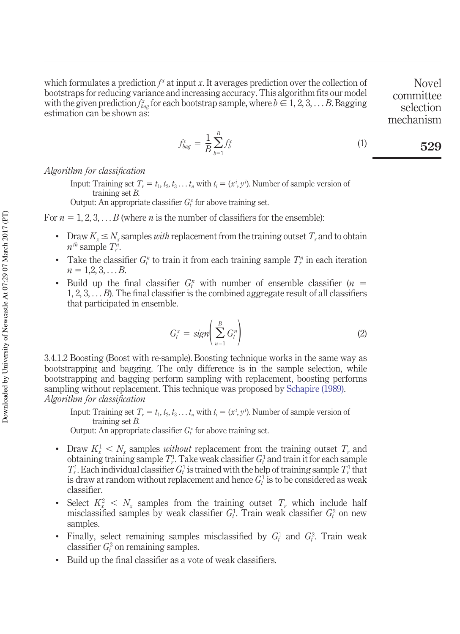which formulates a prediction  $f^x$  at input *x*. It averages prediction over the collection of bootstraps for reducing variance and increasing accuracy. This algorithm fits our model with the given prediction  $f_{bag}^x$  for each bootstrap sample, where  $b \in 1, 2, 3, \ldots$  *B*. Bagging estimation can be shown as:

Novel committee selection mechanism

$$
f_{bag}^x = \frac{1}{B} \sum_{b=1}^B f_b^x \tag{1}
$$

*Algorithm for classification*

Input: Training set  $T_r = t_1, t_2, t_3, \ldots, t_n$  with  $t_i = (x^i, y^i)$ . Number of sample version of training set *B.*

Output: An appropriate classifier  $G_t^x$  for above training set.

For  $n = 1, 2, 3, \ldots B$  (where  $n$  is the number of classifiers for the ensemble):

- Draw  $K_x \leq N_x$  samples *with* replacement from the training outset  $T_x$  and to obtain  $n^{th}$  sample  $T_r^n$ .
- Take the classifier  $G_t^n$  to train it from each training sample  $T_r^n$  in each iteration  $n = 1,2,3,...B$ .
- Build up the final classifier  $G_t^n$  with number of ensemble classifier  $(n =$ 1, 2, 3, . . . *B*). The final classifier is the combined aggregate result of all classifiers that participated in ensemble.

$$
G_t^x = sign\left(\sum_{n=1}^B G_t^n\right) \tag{2}
$$

3.4.1.2 Boosting (Boost with re-sample). Boosting technique works in the same way as bootstrapping and bagging. The only difference is in the sample selection, while bootstrapping and bagging perform sampling with replacement, boosting performs sampling without replacement. This technique was proposed by Schapire (1989). *Algorithm for classification*

Input: Training set  $T_r = t_1, t_2, t_3, \ldots, t_n$  with  $t_i = (x^i, y^i)$ . Number of sample version of training set *B.*

Output: An appropriate classifier  $G_t^x$  for above training set.

- Draw  $K_x^1 \leq N_x$  samples *without* replacement from the training outset  $T_r$ , and obtaining training sample  $T_r^1$ . Take weak classifier  $G_t^1$  and train it for each sample  $T_r^1$ . Each individual classifier  $G_t^1$  is trained with the help of training sample  $T_r^1$  that is draw at random without replacement and hence  $G_t^1$  is to be considered as weak classifier.
- Select  $K_x^2 \leq N_x$  samples from the training outset  $T_r$ , which include half misclassified samples by weak classifier  $G_t^1$ . Train weak classifier  $G_t^2$  on new samples.
- Finally, select remaining samples misclassified by  $G_t^1$  and  $G_t^2$ . Train weak classifier  $G_t^3$  on remaining samples.
- Build up the final classifier as a vote of weak classifiers.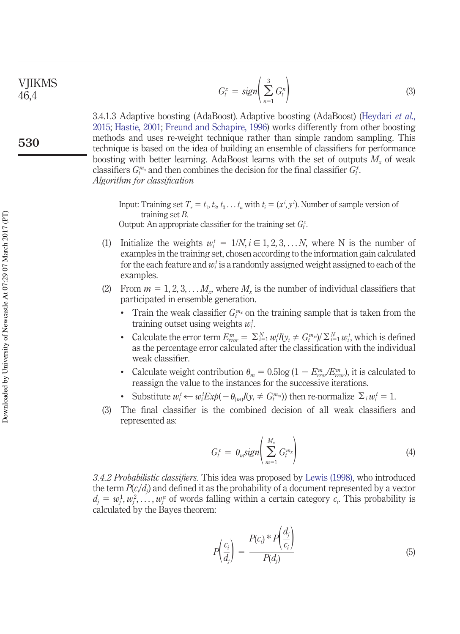$$
G_t^x = sign\left(\sum_{n=1}^3 G_t^n\right) \tag{3}
$$

3.4.1.3 Adaptive boosting (AdaBoost). Adaptive boosting (AdaBoost) (Heydari *et al*., 2015; Hastie, 2001; Freund and Schapire, 1996) works differently from other boosting methods and uses re-weight technique rather than simple random sampling. This technique is based on the idea of building an ensemble of classifiers for performance boosting with better learning. AdaBoost learns with the set of outputs *M<sup>x</sup>* of weak classifiers  $G_t^m$ *x* and then combines the decision for the final classifier  $G_t^x$ . *Algorithm for classification*

Input: Training set  $T_r = t_1, t_2, t_3, \ldots, t_n$  with  $t_i = (x^i, y^i)$ . Number of sample version of training set *B.* Output: An appropriate classifier for the training set  $G_t^x$ .

- (1) Initialize the weights  $w_i^t = 1/N, i \in 1, 2, 3, \ldots N$ , where N is the number of examples in the training set, chosen according to the information gain calculated for the each feature and  $w_i^t$  is a randomly assigned weight assigned to each of the examples.
- (2) From  $m = 1, 2, 3, \ldots, M_x$ , where  $M_x$  is the number of individual classifiers that participated in ensemble generation.
	- Train the weak classifier  $G_t^{m_x}$  on the training sample that is taken from the training outset using weights *w<sup>i</sup> t* .
	- Calculate the error term  $E_{r\sigma r}^m = \sum_{i=1}^N w_i^t I(y_i \neq G_{t}^{m_{xi}})/\sum_{i=1}^N w_i^t$ , which is defined as the percentage error calculated after the classification with the individual weak classifier.
	- Calculate weight contribution  $\theta_m = 0.5 \log (1 E_{rr0}^m / E_{rr0}^m)$ , it is calculated to reassign the value to the instances for the successive iterations.
	- Substitute  $w_i^t \leftarrow w_i^t E x p(-\theta_{(m)} I(y_i \neq G_i^{m_{xi}}))$  then re-normalize  $\Sigma_i w_i^t = 1$ .
- (3) The final classifier is the combined decision of all weak classifiers and represented as:

$$
G_t^x = \theta_m \text{sign}\left(\sum_{m=1}^{M_x} G_t^m\right) \tag{4}
$$

*3.4.2 Probabilistic classifiers.* This idea was proposed by Lewis (1998), who introduced the term  $P(c_i/d_j)$  and defined it as the probability of a document represented by a vector  $d_j = w_j^1, w_j^2, \ldots, w_j^n$  of words falling within a certain category  $c_i$ . This probability is calculated by the Bayes theorem:

$$
P\left(\frac{c_i}{d_j}\right) = \frac{P(c_i)^* P\left(\frac{d_j}{c_i}\right)}{P(d_j)}
$$
(5)

**530**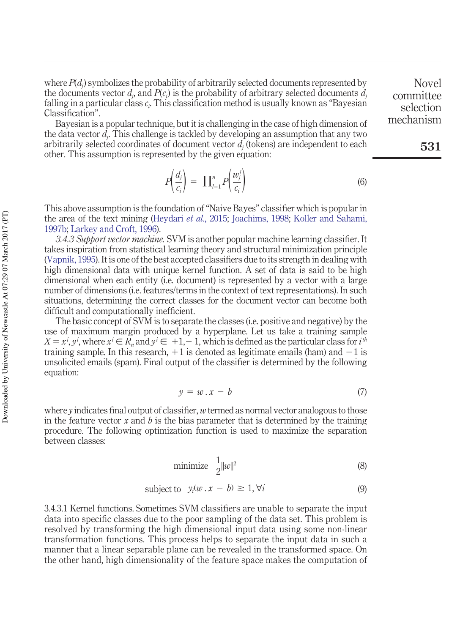Bayesian is a popular technique, but it is challenging in the case of high dimension of the data vector *d<sup>j</sup>* . This challenge is tackled by developing an assumption that any two arbitrarily selected coordinates of document vector *d<sup>j</sup>* (tokens) are independent to each other. This assumption is represented by the given equation:

$$
P\left(\frac{d_j}{c_i}\right) = \prod_{l=1}^n P\left(\frac{w_j^l}{c_i}\right) \tag{6}
$$

This above assumption is the foundation of "Naive Bayes" classifier which is popular in the area of the text mining (Heydari *et al*., 2015; Joachims, 1998; Koller and Sahami, 1997b; Larkey and Croft, 1996).

*3.4.3 Support vector machine.* SVM is another popular machine learning classifier. It takes inspiration from statistical learning theory and structural minimization principle (Vapnik, 1995). It is one of the best accepted classifiers due to its strength in dealing with high dimensional data with unique kernel function. A set of data is said to be high dimensional when each entity (i.e. document) is represented by a vector with a large number of dimensions (i.e. features/terms in the context of text representations). In such situations, determining the correct classes for the document vector can become both difficult and computationally inefficient.

The basic concept of SVM is to separate the classes (i.e. positive and negative) by the use of maximum margin produced by a hyperplane. Let us take a training sample  $X = x^i, y^i$ , where  $x^i \in R_n$  and  $y^i \in +1, -1$ , which is defined as the particular class for  $i^{th}$ training sample. In this research,  $+1$  is denoted as legitimate emails (ham) and  $-1$  is unsolicited emails (spam). Final output of the classifier is determined by the following equation:

$$
y = w \cdot x - b \tag{7}
$$

where *y* indicates final output of classifier, *w* termed as normal vector analogous to those in the feature vector  $x$  and  $b$  is the bias parameter that is determined by the training procedure. The following optimization function is used to maximize the separation between classes:

$$
\text{minimize} \quad \frac{1}{2} ||w||^2 \tag{8}
$$

subject to 
$$
y_i(w \cdot x - b) \geq 1, \forall i
$$
 (9)

3.4.3.1 Kernel functions. Sometimes SVM classifiers are unable to separate the input data into specific classes due to the poor sampling of the data set. This problem is resolved by transforming the high dimensional input data using some non-linear transformation functions. This process helps to separate the input data in such a manner that a linear separable plane can be revealed in the transformed space. On the other hand, high dimensionality of the feature space makes the computation of

Novel committee selection mechanism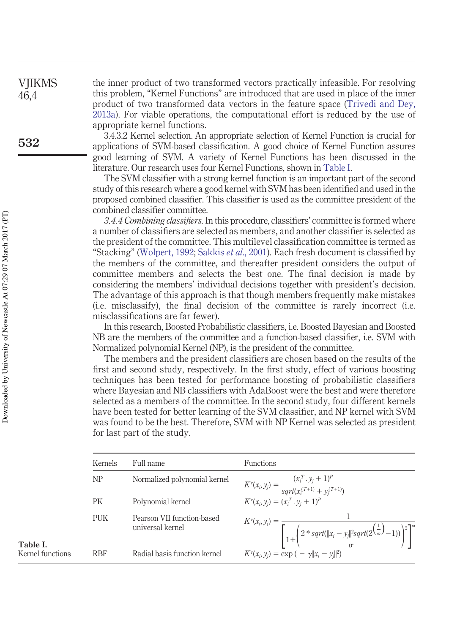the inner product of two transformed vectors practically infeasible. For resolving this problem, "Kernel Functions" are introduced that are used in place of the inner product of two transformed data vectors in the feature space (Trivedi and Dey, 2013a). For viable operations, the computational effort is reduced by the use of appropriate kernel functions.

3.4.3.2 Kernel selection. An appropriate selection of Kernel Function is crucial for applications of SVM-based classification. A good choice of Kernel Function assures good learning of SVM. A variety of Kernel Functions has been discussed in the literature. Our research uses four Kernel Functions, shown in Table I.

The SVM classifier with a strong kernel function is an important part of the second study of this research where a good kernel with SVM has been identified and used in the proposed combined classifier. This classifier is used as the committee president of the combined classifier committee.

*3.4.4 Combining classifiers.* In this procedure, classifiers' committee is formed where a number of classifiers are selected as members, and another classifier is selected as the president of the committee. This multilevel classification committee is termed as "Stacking" (Wolpert, 1992; Sakkis *et al*., 2001). Each fresh document is classified by the members of the committee, and thereafter president considers the output of committee members and selects the best one. The final decision is made by considering the members' individual decisions together with president's decision. The advantage of this approach is that though members frequently make mistakes (i.e. misclassify), the final decision of the committee is rarely incorrect (i.e. misclassifications are far fewer).

In this research, Boosted Probabilistic classifiers, i.e. Boosted Bayesian and Boosted NB are the members of the committee and a function-based classifier, i.e. SVM with Normalized polynomial Kernel (NP), is the president of the committee.

The members and the president classifiers are chosen based on the results of the first and second study, respectively. In the first study, effect of various boosting techniques has been tested for performance boosting of probabilistic classifiers where Bayesian and NB classifiers with AdaBoost were the best and were therefore selected as a members of the committee. In the second study, four different kernels have been tested for better learning of the SVM classifier, and NP kernel with SVM was found to be the best. Therefore, SVM with NP Kernel was selected as president for last part of the study.

| Kernels    | Full name                                      | <b>Functions</b>                                                                                                                                         |
|------------|------------------------------------------------|----------------------------------------------------------------------------------------------------------------------------------------------------------|
| NP         | Normalized polynomial kernel                   | $K^{r}(x_i, y_j) = \frac{(x_i^{T} \cdot y_j + 1)^{p}}{sqrt(x_i^{(T+1)} + y_i^{(T+1)})}$                                                                  |
| PK         | Polynomial kernel                              | $K^{r}(x_i, y_i) = (x_i^{T}, y_i + 1)^{p}$                                                                                                               |
| <b>PUK</b> | Pearson VII function-based<br>universal kernel | $K'(x_i, y_j) = \frac{1}{\left[1 + \left(\frac{2 * sqrt(\ x_i - y_j\ ^2sqrt(2^{\left(\frac{1}{\omega}}) - 1))}{\sigma}\right)^2\right]^{\omega}}\right]$ |
| <b>RBF</b> | Radial basis function kernel                   | $K^{r}(x_{i}, y_{i}) = \exp(-\gamma   x_{i} - y_{i}  ^{2})$                                                                                              |

**VIIKMS** 46,4

**Table I.** Kernel functions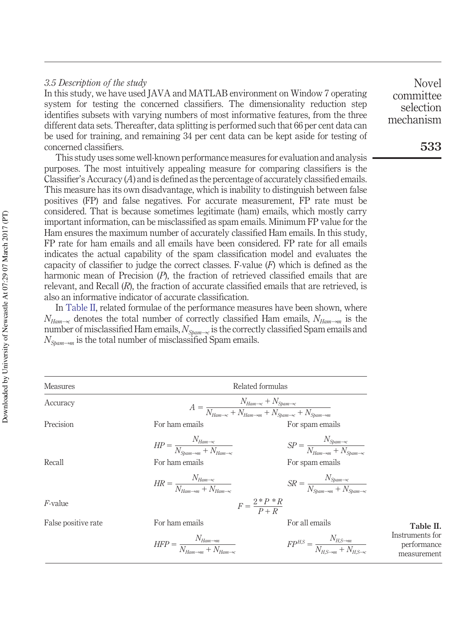#### *3.5 Description of the study*

In this study, we have used JAVA and MATLAB environment on Window 7 operating system for testing the concerned classifiers. The dimensionality reduction step identifies subsets with varying numbers of most informative features, from the three different data sets. Thereafter, data splitting is performed such that 66 per cent data can be used for training, and remaining 34 per cent data can be kept aside for testing of concerned classifiers.

This study uses some well-known performance measures for evaluation and analysis purposes. The most intuitively appealing measure for comparing classifiers is the Classifier's Accuracy (*A*) and is defined as the percentage of accurately classified emails. This measure has its own disadvantage, which is inability to distinguish between false positives (FP) and false negatives. For accurate measurement, FP rate must be considered. That is because sometimes legitimate (ham) emails, which mostly carry important information, can be misclassified as spam emails. Minimum FP value for the Ham ensures the maximum number of accurately classified Ham emails. In this study, FP rate for ham emails and all emails have been considered. FP rate for all emails indicates the actual capability of the spam classification model and evaluates the capacity of classifier to judge the correct classes. F-value (*F*) which is defined as the harmonic mean of Precision (*P*), the fraction of retrieved classified emails that are relevant, and Recall (*R*), the fraction of accurate classified emails that are retrieved, is also an informative indicator of accurate classification.

In Table II, related formulae of the performance measures have been shown, where  $N_{Ham\rightarrow c}$  denotes the total number of correctly classified Ham emails,  $N_{Ham\rightarrow m}$  is the number of misclassified Ham emails,  $N_{Spam\rightarrow c}$  is the correctly classified Spam emails and  $N_{S_{barm\rightarrow m}}$  is the total number of misclassified Spam emails.

| <b>Measures</b>     |                                                                                                                                                       | Related formulas                                                                                                                                       |
|---------------------|-------------------------------------------------------------------------------------------------------------------------------------------------------|--------------------------------------------------------------------------------------------------------------------------------------------------------|
| Accuracy            |                                                                                                                                                       | $A = \frac{N_{Ham\rightarrow c} + N_{Spam\rightarrow c}}{N_{Ham\rightarrow w} + N_{Ham\rightarrow m} + N_{Sham\rightarrow c} + N_{Spam\rightarrow m}}$ |
| Precision           | For ham emails                                                                                                                                        | For spam emails                                                                                                                                        |
| Recall              | $HP = \frac{N_{Ham\rightarrow c}}{N_{\odot}}$<br>For ham emails<br>$HR = \frac{N_{Ham \rightarrow c}}{N_{Ham \rightarrow m} + N_{Ham \rightarrow c}}$ | $SP = \frac{N_{Spam \to c}}{N_{Ham \to m} + N_{Scham}}$<br>For spam emails<br>$SR = \frac{N_{Spam\rightarrow c}}{N_{\odot}}$                           |
| $F$ -value          |                                                                                                                                                       | $F = \frac{2*P*R}{P+P}$                                                                                                                                |
| False positive rate | For ham emails                                                                                                                                        | For all emails                                                                                                                                         |
|                     | $HFP = \frac{N_{Ham \rightarrow m}}{N_{\cdots} + N}$                                                                                                  | $FP^{H,S} = \frac{N_{H,S \rightarrow m}}{N_{H,S \rightarrow m} + N_{\cdots}}$                                                                          |

**Table II.** Instruments for performance measurement

**533**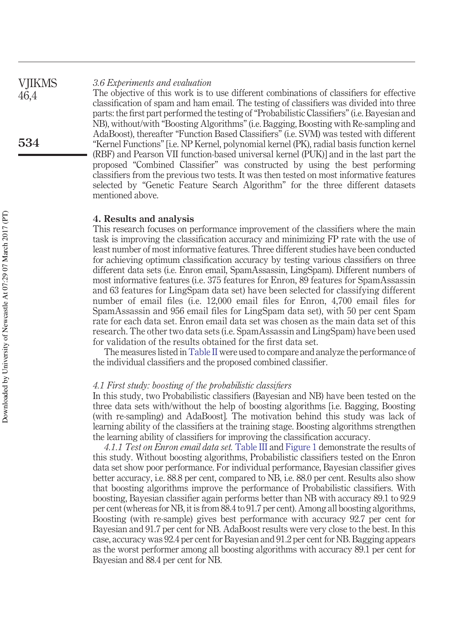#### *3.6 Experiments and evaluation* VJIKMS

The objective of this work is to use different combinations of classifiers for effective classification of spam and ham email. The testing of classifiers was divided into three parts: the first part performed the testing of "Probabilistic Classifiers" (i.e. Bayesian and NB), without/with "Boosting Algorithms" (i.e. Bagging, Boosting with Re-sampling and AdaBoost), thereafter "Function Based Classifiers" (i.e. SVM) was tested with different "Kernel Functions" [i.e. NP Kernel, polynomial kernel (PK), radial basis function kernel (RBF) and Pearson VII function-based universal kernel (PUK)] and in the last part the proposed "Combined Classifier" was constructed by using the best performing classifiers from the previous two tests. It was then tested on most informative features selected by "Genetic Feature Search Algorithm" for the three different datasets mentioned above.

#### **4. Results and analysis**

This research focuses on performance improvement of the classifiers where the main task is improving the classification accuracy and minimizing FP rate with the use of least number of most informative features. Three different studies have been conducted for achieving optimum classification accuracy by testing various classifiers on three different data sets (i.e. Enron email, SpamAssassin, LingSpam). Different numbers of most informative features (i.e. 375 features for Enron, 89 features for SpamAssassin and 63 features for LingSpam data set) have been selected for classifying different number of email files (i.e. 12,000 email files for Enron, 4,700 email files for SpamAssassin and 956 email files for LingSpam data set), with 50 per cent Spam rate for each data set. Enron email data set was chosen as the main data set of this research. The other two data sets (i.e. SpamAssassin and LingSpam) have been used for validation of the results obtained for the first data set.

The measures listed inTable II were used to compare and analyze the performance of the individual classifiers and the proposed combined classifier.

#### *4.1 First study: boosting of the probabilistic classifiers*

In this study, two Probabilistic classifiers (Bayesian and NB) have been tested on the three data sets with/without the help of boosting algorithms [i.e. Bagging, Boosting (with re-sampling) and AdaBoost]. The motivation behind this study was lack of learning ability of the classifiers at the training stage. Boosting algorithms strengthen the learning ability of classifiers for improving the classification accuracy.

*4.1.1 Test on Enron email data set.* Table III and Figure 1 demonstrate the results of this study. Without boosting algorithms, Probabilistic classifiers tested on the Enron data set show poor performance. For individual performance, Bayesian classifier gives better accuracy, i.e. 88.8 per cent, compared to NB, i.e. 88.0 per cent. Results also show that boosting algorithms improve the performance of Probabilistic classifiers. With boosting, Bayesian classifier again performs better than NB with accuracy 89.1 to 92.9 per cent (whereas for NB, it is from 88.4 to 91.7 per cent). Among all boosting algorithms, Boosting (with re-sample) gives best performance with accuracy 92.7 per cent for Bayesian and 91.7 per cent for NB. AdaBoost results were very close to the best. In this case, accuracy was 92.4 per cent for Bayesian and 91.2 per cent for NB. Bagging appears as the worst performer among all boosting algorithms with accuracy 89.1 per cent for Bayesian and 88.4 per cent for NB.

46,4

**534**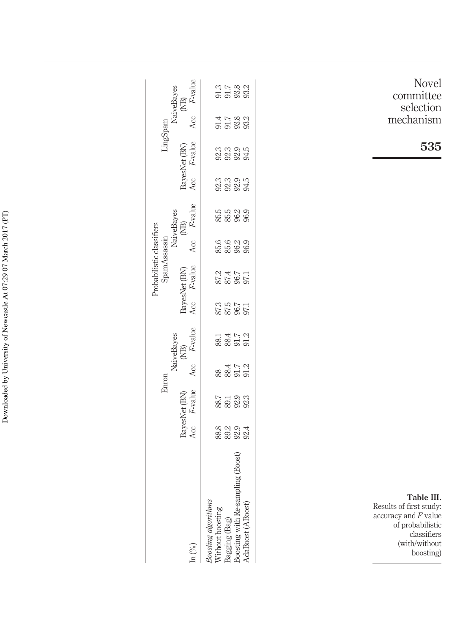| Novel<br>committee                                                                                                               | 3 5 8 9<br>9 9 9 9 9                                                                                               | F-value                                                               |  |
|----------------------------------------------------------------------------------------------------------------------------------|--------------------------------------------------------------------------------------------------------------------|-----------------------------------------------------------------------|--|
| selection<br>mechanism                                                                                                           | $\begin{array}{l} 47.7 \\ 7.78.0 \\ 7.58.0 \\ 8.3 \end{array}$                                                     | NaiveBayes<br>$\widehat{\Xi}$<br>Acc                                  |  |
| 535                                                                                                                              | 3333<br>3333                                                                                                       | LingSpam<br>F-value                                                   |  |
|                                                                                                                                  | 33335<br>3335                                                                                                      | BayesNet (BN)<br>Aα                                                   |  |
|                                                                                                                                  | 55<br>56<br>56<br>56<br>56<br>56                                                                                   | F-value<br>$\widehat{\Xi}$                                            |  |
|                                                                                                                                  | 6<br>85 8 9<br>96 9                                                                                                | NaiveBayes<br>Acc                                                     |  |
|                                                                                                                                  | 874<br>875<br>971                                                                                                  | Probabilistic classifiers<br>SpamAssassin<br>F-value<br>BayesNet (BN) |  |
|                                                                                                                                  | 1 1 1 2 3<br>2 3 3 3<br>2 3 3 3                                                                                    | Acc                                                                   |  |
|                                                                                                                                  | 88.1<br>88.17<br>91.2                                                                                              | F-value<br>NaiveBayes<br>$\widehat{\Xi}$                              |  |
|                                                                                                                                  | 884<br>884<br>91.7<br>91.2                                                                                         | Acc<br>Enron                                                          |  |
|                                                                                                                                  | 887<br>8823<br>923                                                                                                 | <i>F</i> -value<br>BayesNet (BN)                                      |  |
|                                                                                                                                  | 8<br>88 88 88<br>88 88 88                                                                                          | Aα                                                                    |  |
| Table III.<br>Results of first study:<br>accuracy and $F$ value<br>of probabilistic<br>classifiers<br>(with/without<br>boosting) | Without boosting<br>Bagging (Bag)<br>Boosting with Re-sampling (Boost)<br>Boosting algorithms<br>AdaBoost (ABoost) | In $(\%)$                                                             |  |

Downloaded by University of Newcastle At 07:29 07 March 2017 (PT) Downloaded by University of Newcastle At 07:29 07 March 2017 (PT)

**535**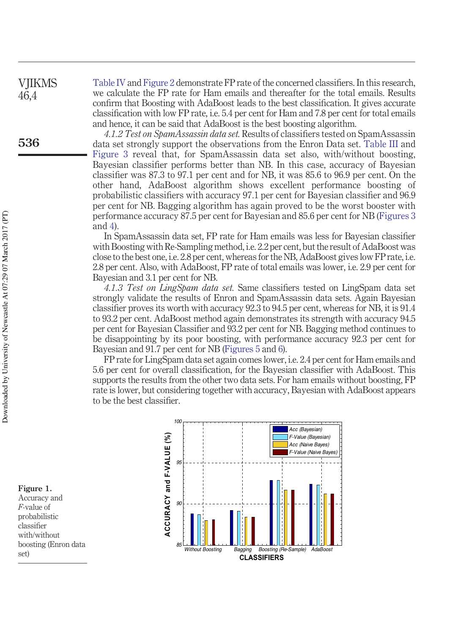Table IV and Figure 2 demonstrate FP rate of the concerned classifiers. In this research, we calculate the FP rate for Ham emails and thereafter for the total emails. Results confirm that Boosting with AdaBoost leads to the best classification. It gives accurate classification with low FP rate, i.e. 5.4 per cent for Ham and 7.8 per cent for total emails and hence, it can be said that AdaBoost is the best boosting algorithm.

*4.1.2 Test on SpamAssassin data set.* Results of classifiers tested on SpamAssassin data set strongly support the observations from the Enron Data set. Table III and Figure 3 reveal that, for SpamAssassin data set also, with/without boosting, Bayesian classifier performs better than NB. In this case, accuracy of Bayesian classifier was 87.3 to 97.1 per cent and for NB, it was 85.6 to 96.9 per cent. On the other hand, AdaBoost algorithm shows excellent performance boosting of probabilistic classifiers with accuracy 97.1 per cent for Bayesian classifier and 96.9 per cent for NB. Bagging algorithm has again proved to be the worst booster with performance accuracy 87.5 per cent for Bayesian and 85.6 per cent for NB (Figures 3 and 4).

In SpamAssassin data set, FP rate for Ham emails was less for Bayesian classifier with Boosting with Re-Sampling method, i.e. 2.2 per cent, but the result of AdaBoost was close to the best one, i.e. 2.8 per cent, whereas for the NB, AdaBoost gives low FP rate, i.e. 2.8 per cent. Also, with AdaBoost, FP rate of total emails was lower, i.e. 2.9 per cent for Bayesian and 3.1 per cent for NB.

*4.1.3 Test on LingSpam data set.* Same classifiers tested on LingSpam data set strongly validate the results of Enron and SpamAssassin data sets. Again Bayesian classifier proves its worth with accuracy 92.3 to 94.5 per cent, whereas for NB, it is 91.4 to 93.2 per cent. AdaBoost method again demonstrates its strength with accuracy 94.5 per cent for Bayesian Classifier and 93.2 per cent for NB. Bagging method continues to be disappointing by its poor boosting, with performance accuracy 92.3 per cent for Bayesian and 91.7 per cent for NB (Figures 5 and 6).

FP rate for LingSpam data set again comes lower, i.e. 2.4 per cent for Ham emails and 5.6 per cent for overall classification, for the Bayesian classifier with AdaBoost. This supports the results from the other two data sets. For ham emails without boosting, FP rate is lower, but considering together with accuracy, Bayesian with AdaBoost appears to be the best classifier.



Accuracy and *F*-value of

**Figure 1.**

probabilistic classifier with/without boosting (Enron data set)

VJIKMS 46,4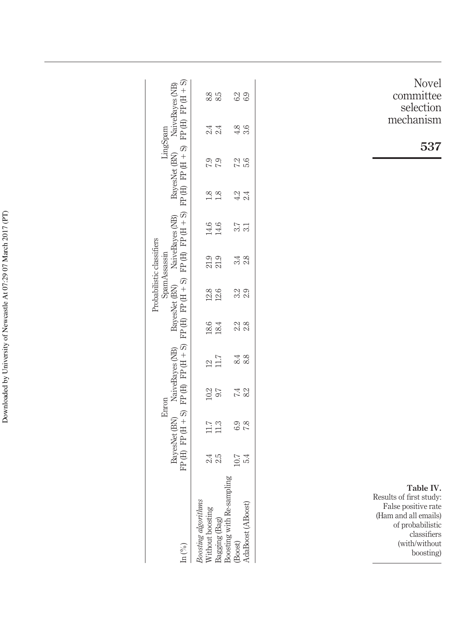Downloaded by University of Newcastle At 07:29 07 March 2017 (PT) Downloaded by University of Newcastle At 07:29 07 March 2017 (PT)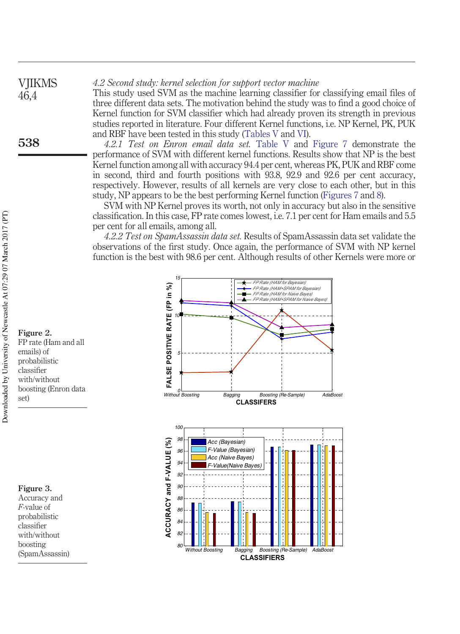#### *4.2 Second study: kernel selection for support vector machine* VJIKMS

This study used SVM as the machine learning classifier for classifying email files of three different data sets. The motivation behind the study was to find a good choice of Kernel function for SVM classifier which had already proven its strength in previous studies reported in literature. Four different Kernel functions, i.e. NP Kernel, PK, PUK and RBF have been tested in this study (Tables V and VI).

*4.2.1 Test on Enron email data set.* Table V and Figure 7 demonstrate the performance of SVM with different kernel functions. Results show that NP is the best Kernel function among all with accuracy 94.4 per cent, whereas PK, PUK and RBF come in second, third and fourth positions with 93.8, 92.9 and 92.6 per cent accuracy, respectively. However, results of all kernels are very close to each other, but in this study, NP appears to be the best performing Kernel function (Figures 7 and 8).

SVM with NP Kernel proves its worth, not only in accuracy but also in the sensitive classification. In this case, FP rate comes lowest, i.e. 7.1 per cent for Ham emails and 5.5 per cent for all emails, among all.

*4.2.2 Test on SpamAssassin data set.* Results of SpamAssassin data set validate the observations of the first study. Once again, the performance of SVM with NP kernel function is the best with 98.6 per cent. Although results of other Kernels were more or



**Figure 2.** FP rate (Ham and all emails) of probabilistic classifier with/without boosting (Enron data set)



*F*-value of probabilistic classifier with/without boosting (SpamAssassin)

46,4

**538**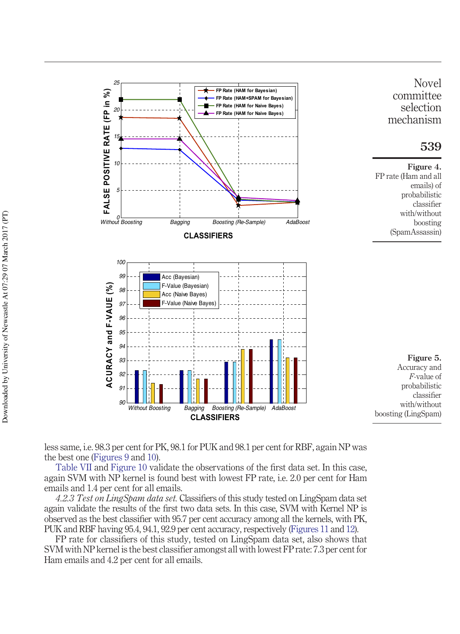

less same, i.e. 98.3 per cent for PK, 98.1 for PUK and 98.1 per cent for RBF, again NP was the best one (Figures 9 and 10).

Table VII and Figure 10 validate the observations of the first data set. In this case, again SVM with NP kernel is found best with lowest FP rate, i.e. 2.0 per cent for Ham emails and 1.4 per cent for all emails.

*4.2.3 Test on LingSpam data set.* Classifiers of this study tested on LingSpam data set again validate the results of the first two data sets. In this case, SVM with Kernel NP is observed as the best classifier with 95.7 per cent accuracy among all the kernels, with PK, PUK and RBF having 95.4, 94.1, 92.9 per cent accuracy, respectively (Figures 11 and 12).

FP rate for classifiers of this study, tested on LingSpam data set, also shows that SVM with NP kernel is the best classifier amongst all with lowest FP rate: 7.3 per cent for Ham emails and 4.2 per cent for all emails.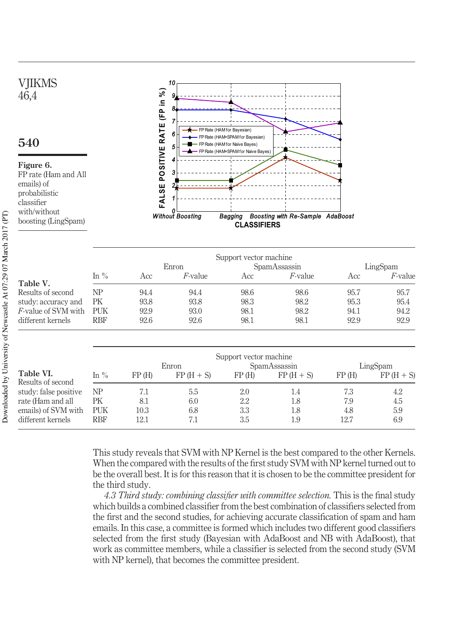

This study reveals that SVM with NP Kernel is the best compared to the other Kernels. When the compared with the results of the first study SVM with NP kernel turned out to be the overall best. It is for this reason that it is chosen to be the committee president for the third study.

*4.3 Third study: combining classifier with committee selection.* This is the final study which builds a combined classifier from the best combination of classifiers selected from the first and the second studies, for achieving accurate classification of spam and ham emails. In this case, a committee is formed which includes two different good classifiers selected from the first study (Bayesian with AdaBoost and NB with AdaBoost), that work as committee members, while a classifier is selected from the second study (SVM with NP kernel), that becomes the committee president.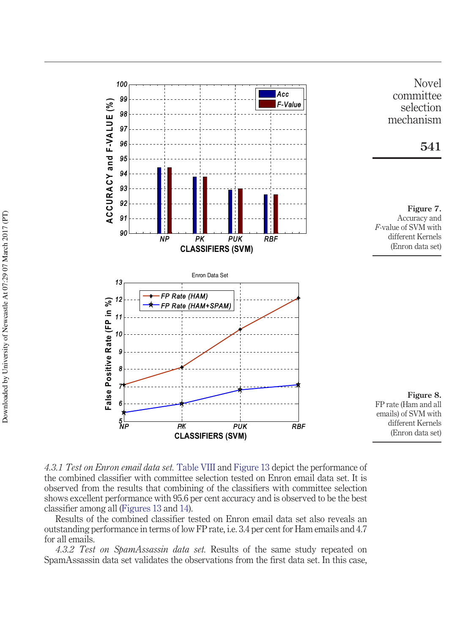



*4.3.1 Test on Enron email data set.* Table VIII and Figure 13 depict the performance of the combined classifier with committee selection tested on Enron email data set. It is observed from the results that combining of the classifiers with committee selection shows excellent performance with 95.6 per cent accuracy and is observed to be the best classifier among all (Figures 13 and 14).

Results of the combined classifier tested on Enron email data set also reveals an outstanding performance in terms of low FP rate, i.e. 3.4 per cent for Ham emails and 4.7 for all emails.

*4.3.2 Test on SpamAssassin data set.* Results of the same study repeated on SpamAssassin data set validates the observations from the first data set. In this case,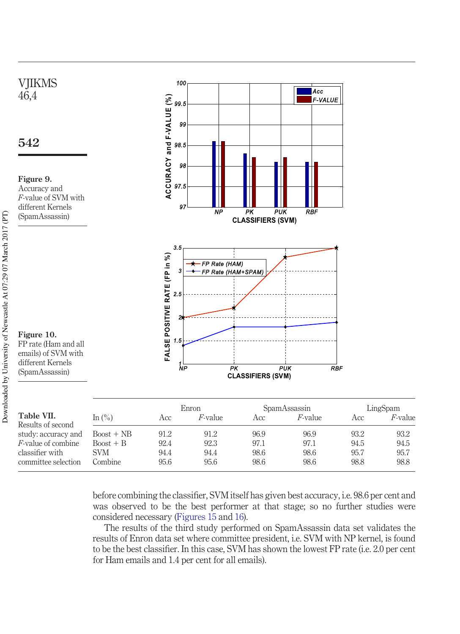

before combining the classifier, SVM itself has given best accuracy, i.e. 98.6 per cent and was observed to be the best performer at that stage; so no further studies were considered necessary (Figures 15 and 16).

Combine 95.6 95.6 98.6 98.6 98.8 98.8

The results of the third study performed on SpamAssassin data set validates the results of Enron data set where committee president, i.e. SVM with NP kernel, is found to be the best classifier. In this case, SVM has shown the lowest FP rate (i.e. 2.0 per cent for Ham emails and 1.4 per cent for all emails).

committee selection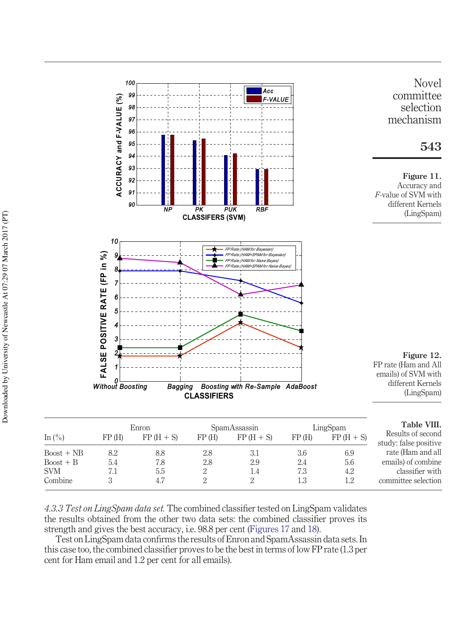

*4.3.3 Test on LingSpam data set.* The combined classifier tested on LingSpam validates the results obtained from the other two data sets: the combined classifier proves its strength and gives the best accuracy, i.e. 98.8 per cent (Figures 17 and 18).

Test on LingSpam data confirms the results of Enron and SpamAssassin data sets. In this case too, the combined classifier proves to be the best in terms of low FP rate (1.3 per cent for Ham email and 1.2 per cent for all emails).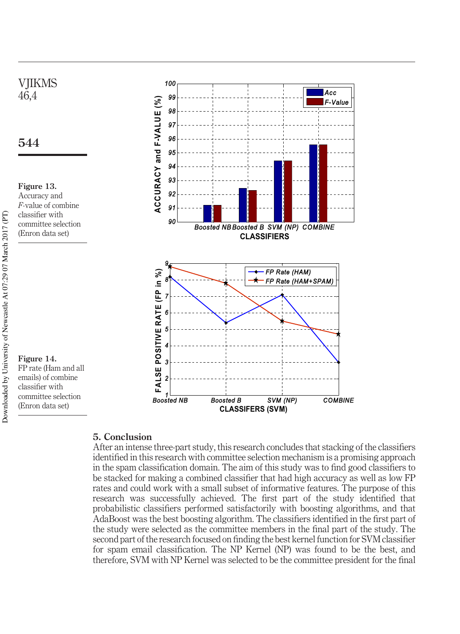

#### **5. Conclusion**

After an intense three-part study, this research concludes that stacking of the classifiers identified in this research with committee selection mechanism is a promising approach in the spam classification domain. The aim of this study was to find good classifiers to be stacked for making a combined classifier that had high accuracy as well as low FP rates and could work with a small subset of informative features. The purpose of this research was successfully achieved. The first part of the study identified that probabilistic classifiers performed satisfactorily with boosting algorithms, and that AdaBoost was the best boosting algorithm. The classifiers identified in the first part of the study were selected as the committee members in the final part of the study. The second part of the research focused on finding the best kernel function for SVM classifier for spam email classification. The NP Kernel (NP) was found to be the best, and therefore, SVM with NP Kernel was selected to be the committee president for the final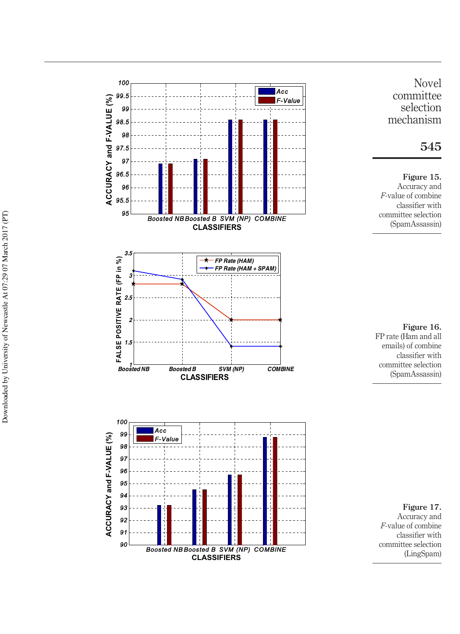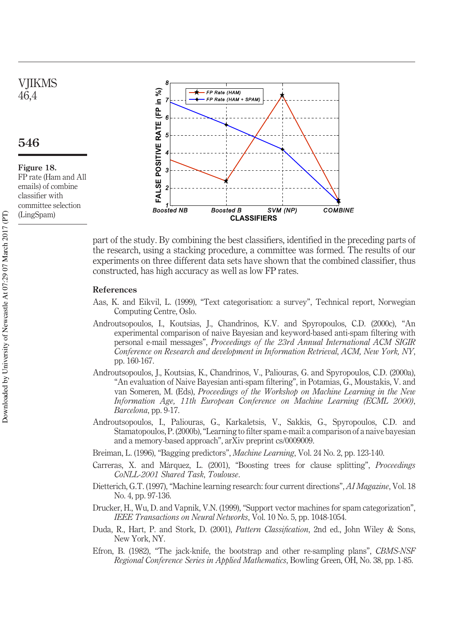## **VIIKMS** 46,4

### **546**

**Figure 18.** FP rate (Ham and All emails) of combine classifier with committee selection (LingSpam)



part of the study. By combining the best classifiers, identified in the preceding parts of the research, using a stacking procedure, a committee was formed. The results of our experiments on three different data sets have shown that the combined classifier, thus constructed, has high accuracy as well as low FP rates.

#### **References**

- Aas, K. and Eikvil, L. (1999), "Text categorisation: a survey", Technical report, Norwegian Computing Centre, Oslo.
- Androutsopoulos, I., Koutsias, J., Chandrinos, K.V. and Spyropoulos, C.D. (2000c), "An experimental comparison of naive Bayesian and keyword-based anti-spam filtering with personal e-mail messages", *Proceedings of the 23rd Annual International ACM SIGIR Conference on Research and development in Information Retrieval*, *ACM, New York, NY*, pp. 160-167.
- Androutsopoulos, J., Koutsias, K., Chandrinos, V., Paliouras, G. and Spyropoulos, C.D. (2000a), "An evaluation of Naive Bayesian anti-spam filtering", in Potamias, G., Moustakis, V. and van Someren, M. (Eds), *Proceedings of the Workshop on Machine Learning in the New Information Age, 11th European Conference on Machine Learning (ECML 2000)*, *Barcelona*, pp. 9-17.
- Androutsopoulos, I., Paliouras, G., Karkaletsis, V., Sakkis, G., Spyropoulos, C.D. and Stamatopoulos, P. (2000b), "Learning to filter spam e-mail: a comparison of a naive bayesian and a memory-based approach", arXiv preprint cs/0009009.
- Breiman, L. (1996), "Bagging predictors", *Machine Learning*, Vol. 24 No. 2, pp. 123-140.
- Carreras, X. and Ma`rquez, L. (2001), "Boosting trees for clause splitting", *Proceedings CoNLL-2001 Shared Task*, *Toulouse*.
- Dietterich, G.T. (1997), "Machine learning research: four current directions", *AI Magazine*, Vol. 18 No. 4, pp. 97-136.
- Drucker, H., Wu, D. and Vapnik, V.N. (1999), "Support vector machines for spam categorization", *IEEE Transactions on Neural Networks*, Vol. 10 No. 5, pp. 1048-1054.
- Duda, R., Hart, P. and Stork, D. (2001), *Pattern Classification*, 2nd ed., John Wiley & Sons, New York, NY.
- Efron, B. (1982), "The jack-knife, the bootstrap and other re-sampling plans", *CBMS-NSF Regional Conference Series in Applied Mathematics*, Bowling Green, OH, No. 38, pp. 1-85.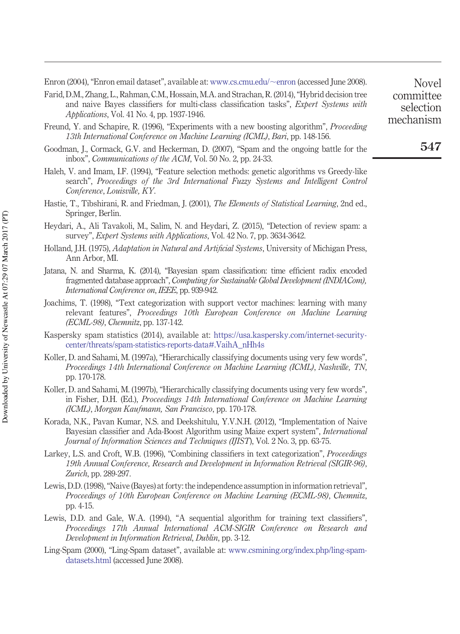Enron (2004), "Enron email dataset", available at: [www.cs.cmu.edu/](http://www.cs.cmu.edu/~enron)~enron (accessed June 2008).

- Farid, D.M., Zhang, L., Rahman, C.M., Hossain, M.A. and Strachan, R. (2014), "Hybrid decision tree and naive Bayes classifiers for multi-class classification tasks", *Expert Systems with Applications*, Vol. 41 No. 4, pp. 1937-1946.
- Freund, Y. and Schapire, R. (1996), "Experiments with a new boosting algorithm", *Proceeding 13th International Conference on Machine Learning (ICML)*, *Bari*, pp. 148-156.
- Goodman, J., Cormack, G.V. and Heckerman, D. (2007), "Spam and the ongoing battle for the inbox", *Communications of the ACM*, Vol. 50 No. 2, pp. 24-33.
- Haleh, V. and Imam, I.F. (1994), "Feature selection methods: genetic algorithms vs Greedy-like search", *Proceedings of the 3rd International Fuzzy Systems and Intelligent Control Conference*, *Louisville, KY*.
- Hastie, T., Tibshirani, R. and Friedman, J. (2001), *The Elements of Statistical Learning*, 2nd ed., Springer, Berlin.
- Heydari, A., Ali Tavakoli, M., Salim, N. and Heydari, Z. (2015), "Detection of review spam: a survey", *Expert Systems with Applications*, Vol. 42 No. 7, pp. 3634-3642.
- Holland, J.H. (1975), *Adaptation in Natural and Artificial Systems*, University of Michigan Press, Ann Arbor, MI.
- Jatana, N. and Sharma, K. (2014), "Bayesian spam classification: time efficient radix encoded fragmented database approach", *Computing for Sustainable Global Development (INDIACom), International Conference on*, *IEEE*, pp. 939-942.
- Joachims, T. (1998), "Text categorization with support vector machines: learning with many relevant features", *Proceedings 10th European Conference on Machine Learning (ECML-98)*, *Chemnitz*, pp. 137-142.
- Kaspersky spam statistics (2014), available at: [https://usa.kaspersky.com/internet-security](https://usa.kaspersky.com/internet-security-center/threats/spam-statistics-reports-data#.VaihA_nHh4s)[center/threats/spam-statistics-reports-data#.VaihA\\_nHh4s](https://usa.kaspersky.com/internet-security-center/threats/spam-statistics-reports-data#.VaihA_nHh4s)
- Koller, D. and Sahami, M. (1997a), "Hierarchically classifying documents using very few words", *Proceedings 14th International Conference on Machine Learning (ICML)*, *Nashville, TN*, pp. 170-178.
- Koller, D. and Sahami, M. (1997b), "Hierarchically classifying documents using very few words", in Fisher, D.H. (Ed.), *Proceedings 14th International Conference on Machine Learning (ICML)*, *Morgan Kaufmann, San Francisco*, pp. 170-178.
- Korada, N.K., Pavan Kumar, N.S. and Deekshitulu, Y.V.N.H. (2012), "Implementation of Naive Bayesian classifier and Ada-Boost Algorithm using Maize expert system", *International Journal of Information Sciences and Techniques (IJIST*), Vol. 2 No. 3, pp. 63-75.
- Larkey, L.S. and Croft, W.B. (1996), "Combining classifiers in text categorization", *Proceedings 19th Annual Conference, Research and Development in Information Retrieval (SIGIR-96)*, *Zurich*, pp. 289-297.
- Lewis, D.D. (1998), "Naive (Bayes) at forty: the independence assumption in information retrieval", *Proceedings of 10th European Conference on Machine Learning (ECML-98)*, *Chemnitz*, pp. 4-15.
- Lewis, D.D. and Gale, W.A. (1994), "A sequential algorithm for training text classifiers", *Proceedings 17th Annual International ACM-SIGIR Conference on Research and Development in Information Retrieval*, *Dublin*, pp. 3-12.
- Ling-Spam (2000), "Ling-Spam dataset", available at: [www.csmining.org/index.php/ling-spam](http://www.csmining.org/index.php/ling-spam-datasets.html)[datasets.html](http://www.csmining.org/index.php/ling-spam-datasets.html) (accessed June 2008).

Novel committee selection